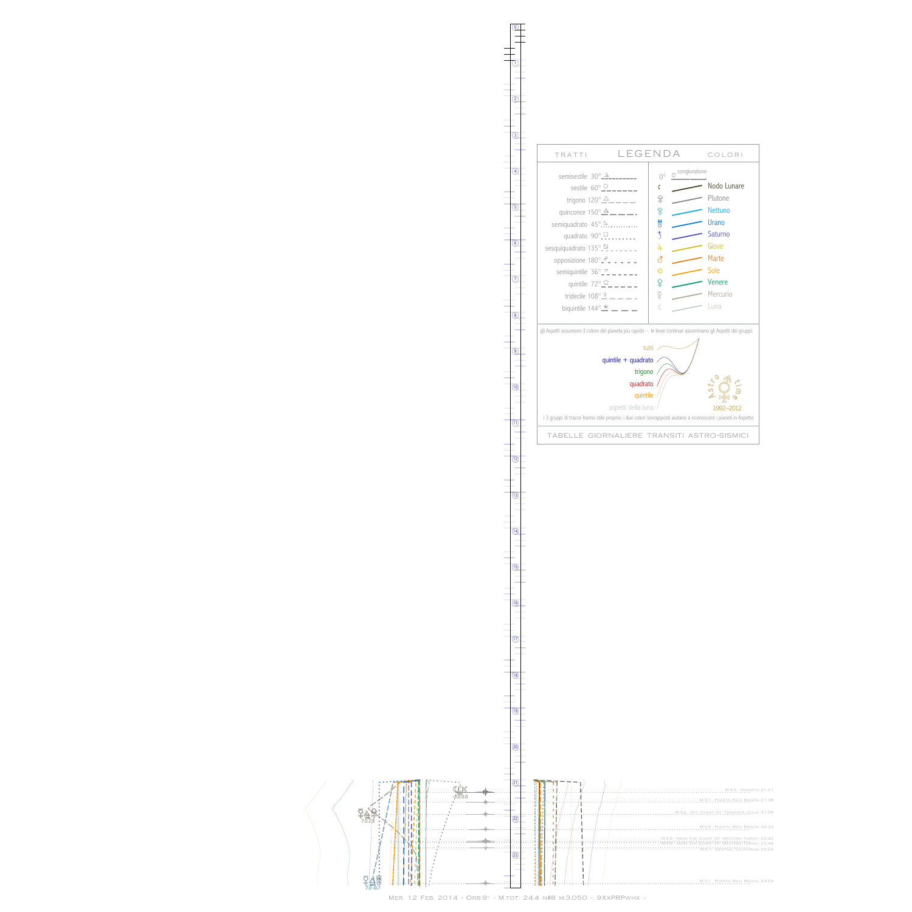**DHILL** <u>ן</u> BqK  $7.\overline{0}$ <br> $7.0$